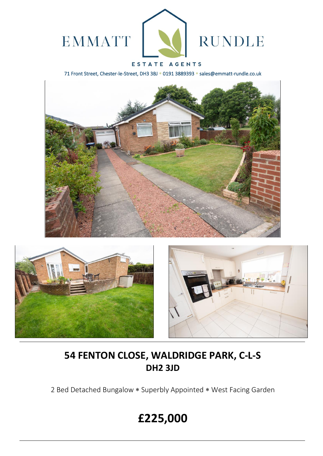

### ESTATE AGENTS

71 Front Street, Chester-le-Street, DH3 3BJ \* 0191 3889393 \* sales@emmatt-rundle.co.uk







## **54 FENTON CLOSE, WALDRIDGE PARK, C-L-S DH2 3JD**

2 Bed Detached Bungalow \* Superbly Appointed \* West Facing Garden

# **£225,000**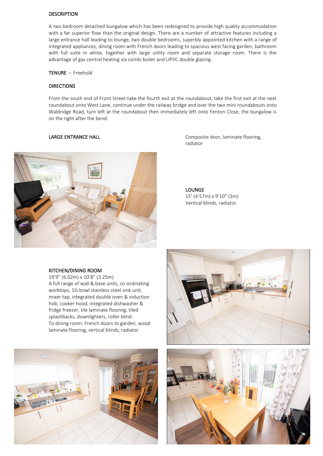#### DESCRIPTION

A two bedroom detached bungalow which has been redesigned to provide high quality accommodation with a far superior flow than the original design. There are a number of attractive features including a large entrance hall leading to lounge, two double bedrooms, superbly appointed kitchen with a range of integrated appliances, dining room with French doors leading to spacious west facing garden, bathroom with full suite in white, together with large utility room and separate storage room. There is the advantage of gas central heating via combi boiler and UPVC double glazing.

#### TENURE - Freehold

#### **DIRECTIONS**

From the south end of Front Street take the fourth exit at the roundabout, take the first exit at the next roundabout onto West Lane, continue under the railway bridge and over the two mini roundabouts onto Waldridge Road, turn left at the roundabout then immediately left onto Fenton Close, the bungalow is on the right after the bend.



LARGE ENTRANCE HALL **Composite door, laminate flooring**, radiator

> LOUNGE 15' (4.57m) x 9'10" (3m) Vertical blinds, radiator

#### KITCHEN/DINING ROOM

19'9" (6.02m) x 10'8" (3.25m) A full range of wall & base units, co-ordinating worktops, 1½ bowl stainless steel sink unit, mixer tap, integrated double oven & induction hob, cooker hood, integrated dishwasher & fridge freezer, tile laminate flooring, tiled splashbacks, downlighters, roller blind. To dining room: French doors to garden, wood laminate flooring, vertical blinds, radiator



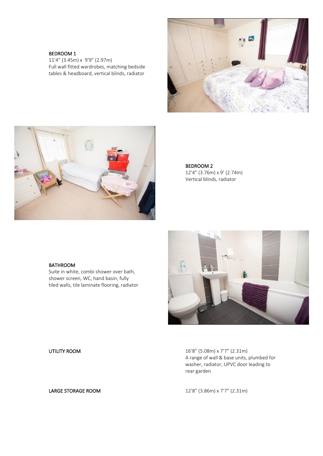#### BEDROOM 1

11'4" (3.45m) x 9'9" (2.97m) Full wall fitted wardrobes, matching bedside tables & headboard, vertical blinds, radiator





BEDROOM 2 12'4" (3.76m) x 9' (2.74m) Vertical blinds, radiator

#### BATHROOM

Suite in white, combi shower over bath, shower screen, WC, hand basin, fully tiled walls, tile laminate flooring, radiator



UTILITY ROOM 16'8" (5.08m) x 7'7" (2.31m) A range of wall & base units, plumbed for washer, radiator, UPVC door leading to rear garden

LARGE STORAGE ROOM 12'8" (3.86m) x 7'7" (2.31m)